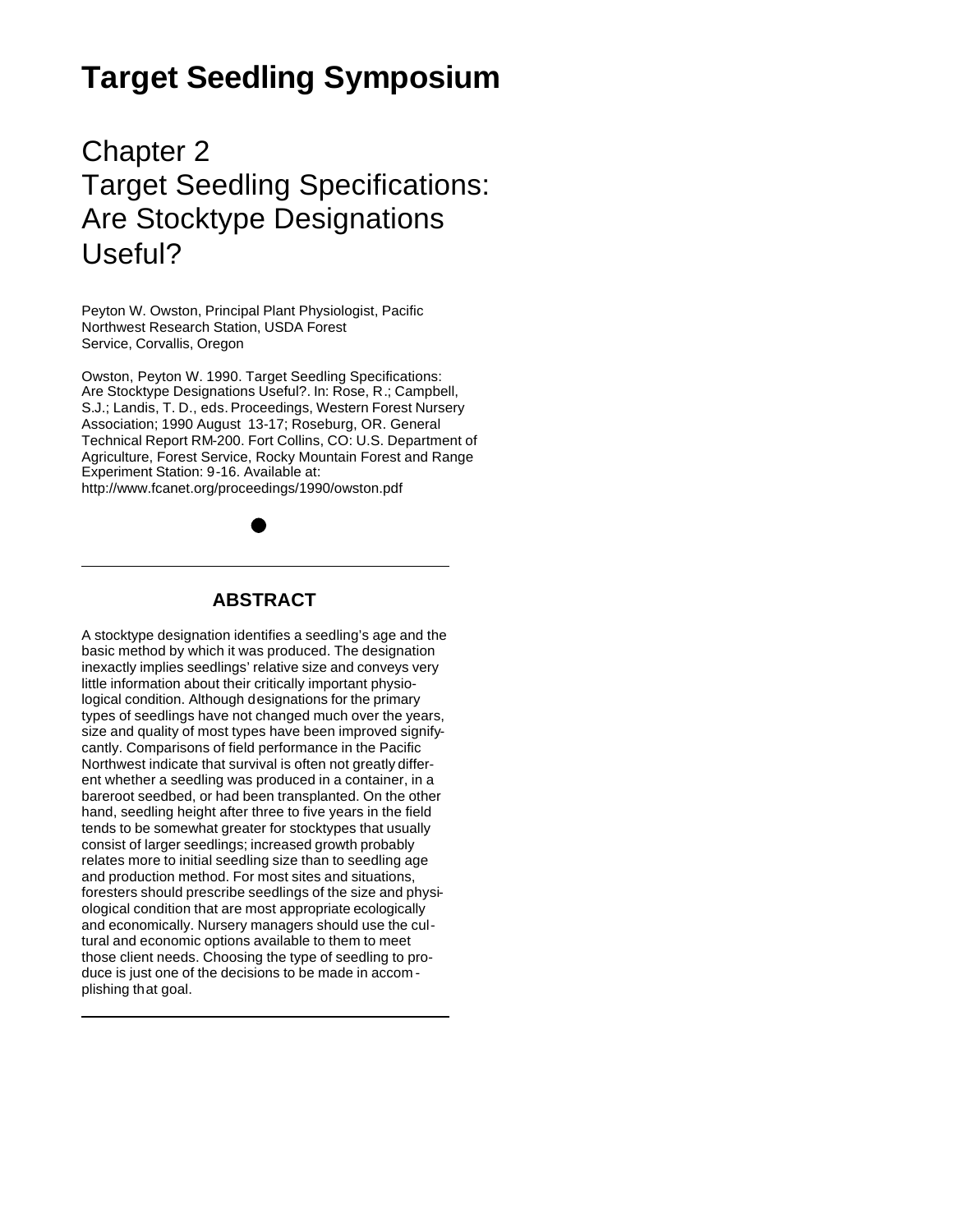# **Target Seedling Symposium**

Chapter 2 Target Seedling Specifications: Are Stocktype Designations Useful?

Peyton W. Owston, Principal Plant Physiologist, Pacific Northwest Research Station, USDA Forest Service, Corvallis, Oregon

Owston, Peyton W. 1990. Target Seedling Specifications: Are Stocktype Designations Useful?. In: Rose, R.; Campbell, S.J.; Landis, T. D., eds. Proceedings, Western Forest Nursery Association; 1990 August 13-17; Roseburg, OR. General Technical Report RM-200. Fort Collins, CO: U.S. Department of Agriculture, Forest Service, Rocky Mountain Forest and Range Experiment Station: 9-16. Available at: http://www.fcanet.org/proceedings/1990/owston.pdf



# **ABSTRACT**

A stocktype designation identifies a seedling's age and the basic method by which it was produced. The designation inexactly implies seedlings' relative size and conveys very little information about their critically important physiological condition. Although designations for the primary types of seedlings have not changed much over the years, size and quality of most types have been improved signifycantly. Comparisons of field performance in the Pacific Northwest indicate that survival is often not greatly different whether a seedling was produced in a container, in a bareroot seedbed, or had been transplanted. On the other hand, seedling height after three to five years in the field tends to be somewhat greater for stocktypes that usually consist of larger seedlings; increased growth probably relates more to initial seedling size than to seedling age and production method. For most sites and situations, foresters should prescribe seedlings of the size and physiological condition that are most appropriate ecologically and economically. Nursery managers should use the cultural and economic options available to them to meet those client needs. Choosing the type of seedling to produce is just one of the decisions to be made in accom plishing that goal.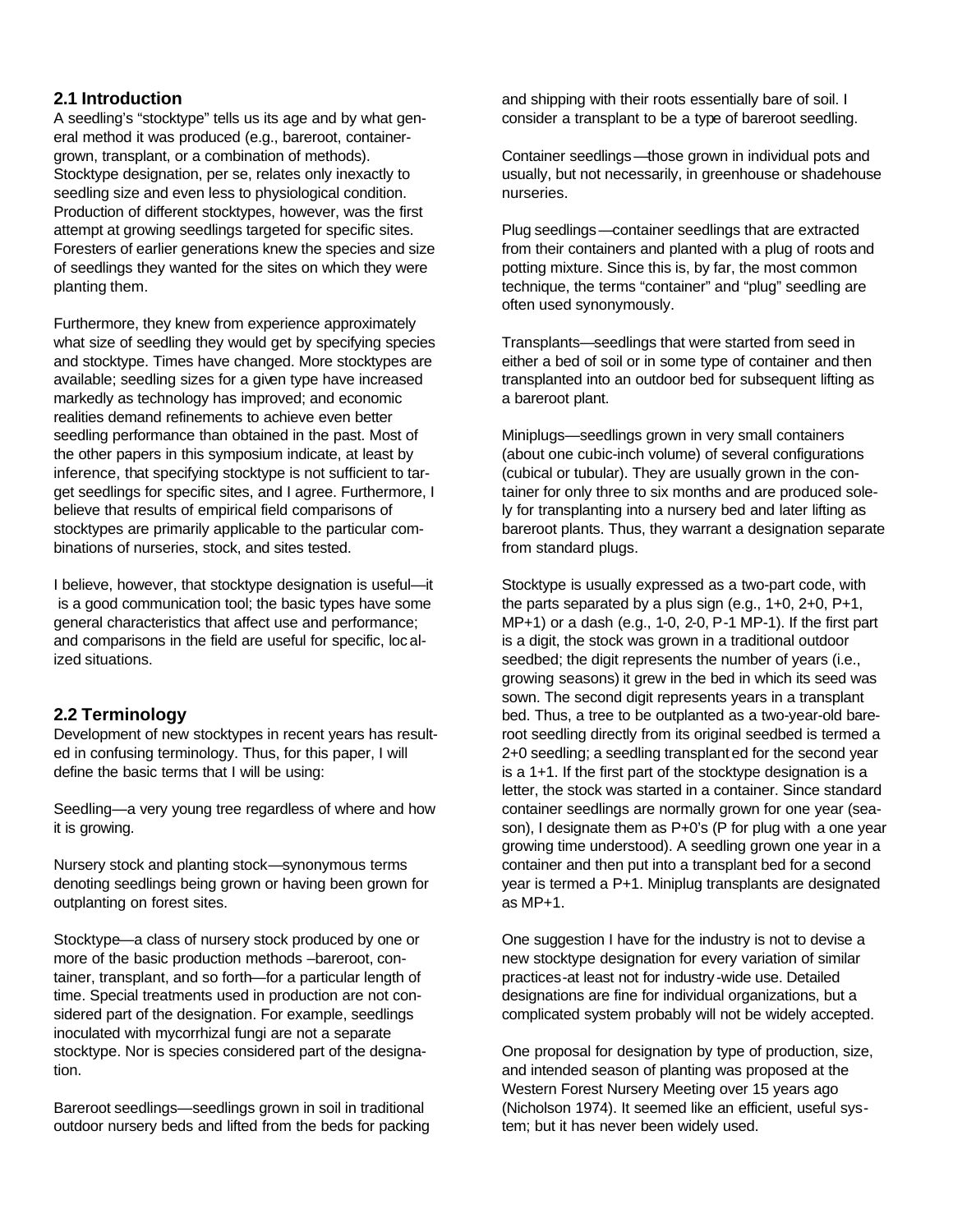## **2.1 Introduction**

A seedling's "stocktype" tells us its age and by what general method it was produced (e.g., bareroot, containergrown, transplant, or a combination of methods). Stocktype designation, per se, relates only inexactly to seedling size and even less to physiological condition. Production of different stocktypes, however, was the first attempt at growing seedlings targeted for specific sites. Foresters of earlier generations knew the species and size of seedlings they wanted for the sites on which they were planting them.

Furthermore, they knew from experience approximately what size of seedling they would get by specifying species and stocktype. Times have changed. More stocktypes are available; seedling sizes for a given type have increased markedly as technology has improved; and economic realities demand refinements to achieve even better seedling performance than obtained in the past. Most of the other papers in this symposium indicate, at least by inference, that specifying stocktype is not sufficient to target seedlings for specific sites, and I agree. Furthermore, I believe that results of empirical field comparisons of stocktypes are primarily applicable to the particular combinations of nurseries, stock, and sites tested.

I believe, however, that stocktype designation is useful—it is a good communication tool; the basic types have some general characteristics that affect use and performance; and comparisons in the field are useful for specific, localized situations.

# **2.2 Terminology**

Development of new stocktypes in recent years has resulted in confusing terminology. Thus, for this paper, I will define the basic terms that I will be using:

Seedling—a very young tree regardless of where and how it is growing.

Nursery stock and planting stock—synonymous terms denoting seedlings being grown or having been grown for outplanting on forest sites.

Stocktype—a class of nursery stock produced by one or more of the basic production methods –bareroot, container, transplant, and so forth—for a particular length of time. Special treatments used in production are not considered part of the designation. For example, seedlings inoculated with mycorrhizal fungi are not a separate stocktype. Nor is species considered part of the designation.

Bareroot seedlings—seedlings grown in soil in traditional outdoor nursery beds and lifted from the beds for packing and shipping with their roots essentially bare of soil. I consider a transplant to be a type of bareroot seedling.

Container seedlings—those grown in individual pots and usually, but not necessarily, in greenhouse or shadehouse nurseries.

Plug seedlings—container seedlings that are extracted from their containers and planted with a plug of roots and potting mixture. Since this is, by far, the most common technique, the terms "container" and "plug" seedling are often used synonymously.

Transplants—seedlings that were started from seed in either a bed of soil or in some type of container and then transplanted into an outdoor bed for subsequent lifting as a bareroot plant.

Miniplugs—seedlings grown in very small containers (about one cubic-inch volume) of several configurations (cubical or tubular). They are usually grown in the container for only three to six months and are produced solely for transplanting into a nursery bed and later lifting as bareroot plants. Thus, they warrant a designation separate from standard plugs.

Stocktype is usually expressed as a two-part code, with the parts separated by a plus sign (e.g., 1+0, 2+0, P+1, MP+1) or a dash (e.g., 1-0, 2-0, P-1 MP-1). If the first part is a digit, the stock was grown in a traditional outdoor seedbed; the digit represents the number of years (i.e., growing seasons) it grew in the bed in which its seed was sown. The second digit represents years in a transplant bed. Thus, a tree to be outplanted as a two-year-old bareroot seedling directly from its original seedbed is termed a 2+0 seedling; a seedling transplant ed for the second year is a 1+1. If the first part of the stocktype designation is a letter, the stock was started in a container. Since standard container seedlings are normally grown for one year (season), I designate them as P+0's (P for plug with a one year growing time understood). A seedling grown one year in a container and then put into a transplant bed for a second year is termed a P+1. Miniplug transplants are designated as MP+1.

One suggestion I have for the industry is not to devise a new stocktype designation for every variation of similar practices-at least not for industry -wide use. Detailed designations are fine for individual organizations, but a complicated system probably will not be widely accepted.

One proposal for designation by type of production, size, and intended season of planting was proposed at the Western Forest Nursery Meeting over 15 years ago (Nicholson 1974). It seemed like an efficient, useful system; but it has never been widely used.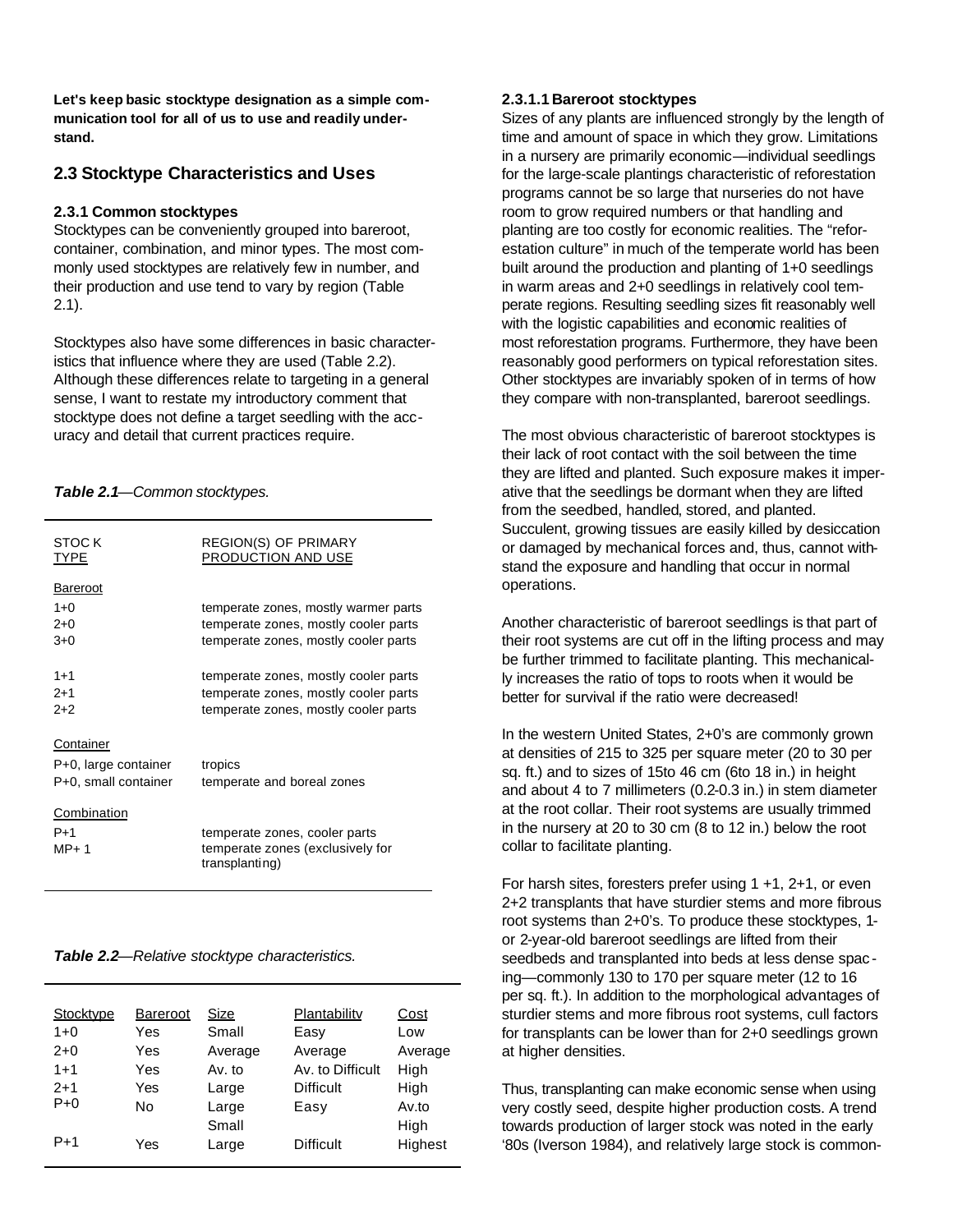**Let's keep basic stocktype designation as a simple communication tool for all of us to use and readily understand.**

## **2.3 Stocktype Characteristics and Uses**

#### **2.3.1 Common stocktypes**

Stocktypes can be conveniently grouped into bareroot, container, combination, and minor types. The most commonly used stocktypes are relatively few in number, and their production and use tend to vary by region (Table 2.1).

Stocktypes also have some differences in basic characteristics that influence where they are used (Table 2.2). Although these differences relate to targeting in a general sense, I want to restate my introductory comment that stocktype does not define a target seedling with the accuracy and detail that current practices require.

#### *Table 2.1—Common stocktypes.*

| STOC K<br>TYPE       | <b>REGION(S) OF PRIMARY</b><br>PRODUCTION AND USE |
|----------------------|---------------------------------------------------|
| <b>Bareroot</b>      |                                                   |
| 1+0                  | temperate zones, mostly warmer parts              |
| $2+0$                | temperate zones, mostly cooler parts              |
| $3+0$                | temperate zones, mostly cooler parts              |
|                      |                                                   |
| $1 + 1$              | temperate zones, mostly cooler parts              |
| $2+1$                | temperate zones, mostly cooler parts              |
| $2+2$                | temperate zones, mostly cooler parts              |
|                      |                                                   |
| Container            |                                                   |
| P+0, large container | tropics                                           |
| P+0, small container | temperate and boreal zones                        |
|                      |                                                   |
| Combination          |                                                   |
| $P+1$                | temperate zones, cooler parts                     |
| $MP+ 1$              | temperate zones (exclusively for                  |
|                      | transplanting)                                    |
|                      |                                                   |

#### *Table 2.2—Relative stocktype characteristics.*

| Stocktype | <b>Bareroot</b> | Size    | Plantability     | Cost    |
|-----------|-----------------|---------|------------------|---------|
| $1+0$     | Yes             | Small   | Easy             | Low     |
| $2+0$     | Yes             | Average | Average          | Average |
| $1 + 1$   | Yes             | Av. to  | Av. to Difficult | High    |
| $2+1$     | Yes             | Large   | <b>Difficult</b> | High    |
| $P+0$     | No              | Large   | Easy             | Av.to   |
|           |                 | Small   |                  | High    |
| $P+1$     | Yes             | Large   | <b>Difficult</b> | Highest |
|           |                 |         |                  |         |

#### **2.3.1.1 Bareroot stocktypes**

Sizes of any plants are influenced strongly by the length of time and amount of space in which they grow. Limitations in a nursery are primarily economic—individual seedlings for the large-scale plantings characteristic of reforestation programs cannot be so large that nurseries do not have room to grow required numbers or that handling and planting are too costly for economic realities. The "reforestation culture" in much of the temperate world has been built around the production and planting of 1+0 seedlings in warm areas and 2+0 seedlings in relatively cool temperate regions. Resulting seedling sizes fit reasonably well with the logistic capabilities and economic realities of most reforestation programs. Furthermore, they have been reasonably good performers on typical reforestation sites. Other stocktypes are invariably spoken of in terms of how they compare with non-transplanted, bareroot seedlings.

The most obvious characteristic of bareroot stocktypes is their lack of root contact with the soil between the time they are lifted and planted. Such exposure makes it imperative that the seedlings be dormant when they are lifted from the seedbed, handled, stored, and planted. Succulent, growing tissues are easily killed by desiccation or damaged by mechanical forces and, thus, cannot withstand the exposure and handling that occur in normal operations.

Another characteristic of bareroot seedlings is that part of their root systems are cut off in the lifting process and may be further trimmed to facilitate planting. This mechanically increases the ratio of tops to roots when it would be better for survival if the ratio were decreased!

In the western United States, 2+0's are commonly grown at densities of 215 to 325 per square meter (20 to 30 per sq. ft.) and to sizes of 15to 46 cm (6to 18 in.) in height and about 4 to 7 millimeters (0.2-0.3 in.) in stem diameter at the root collar. Their root systems are usually trimmed in the nursery at 20 to 30 cm (8 to 12 in.) below the root collar to facilitate planting.

For harsh sites, foresters prefer using 1 +1, 2+1, or even 2+2 transplants that have sturdier stems and more fibrous root systems than 2+0's. To produce these stocktypes, 1 or 2-year-old bareroot seedlings are lifted from their seedbeds and transplanted into beds at less dense spac ing—commonly 130 to 170 per square meter (12 to 16 per sq. ft.). In addition to the morphological advantages of sturdier stems and more fibrous root systems, cull factors for transplants can be lower than for 2+0 seedlings grown at higher densities.

Thus, transplanting can make economic sense when using very costly seed, despite higher production costs. A trend towards production of larger stock was noted in the early '80s (Iverson 1984), and relatively large stock is common-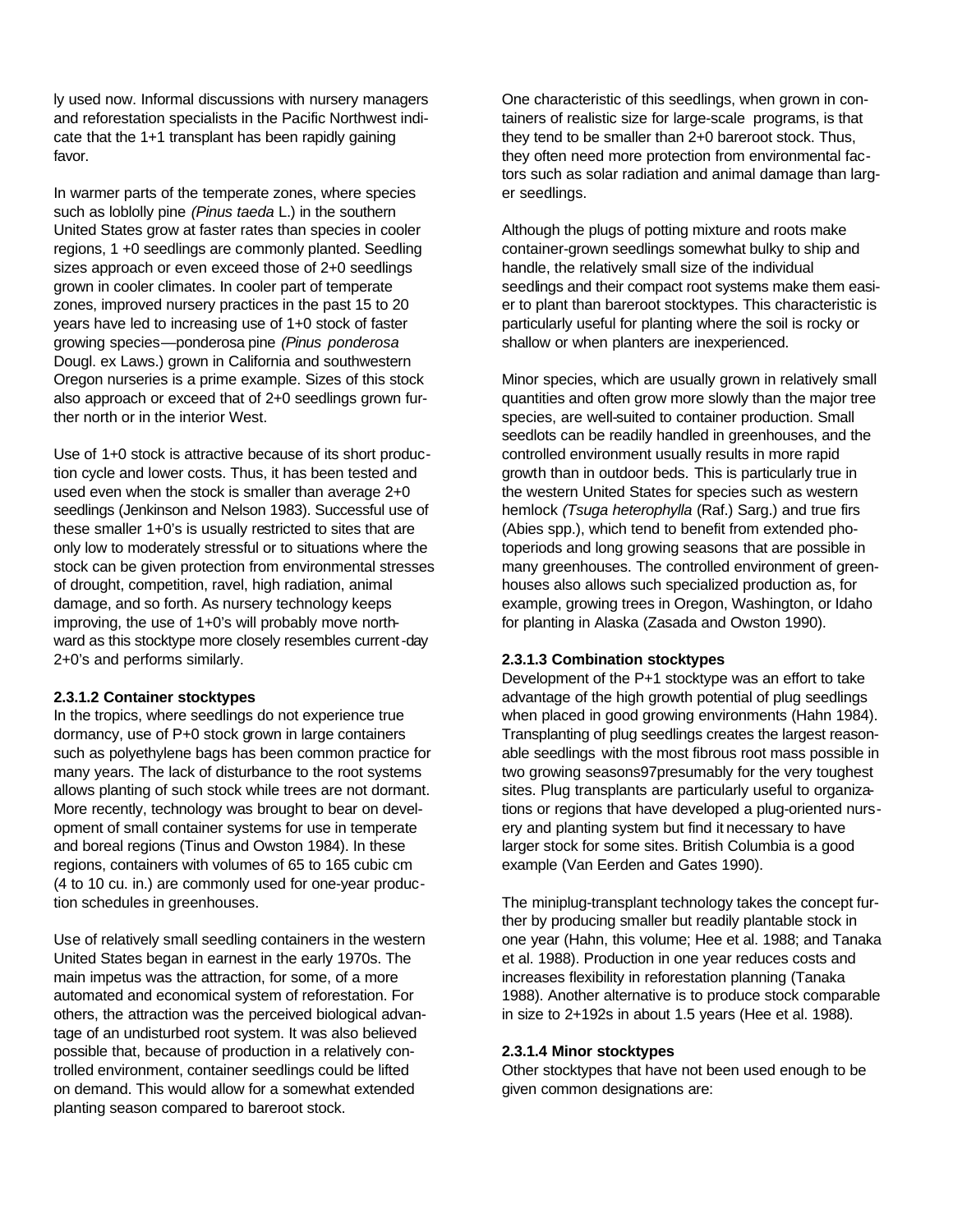ly used now. Informal discussions with nursery managers and reforestation specialists in the Pacific Northwest indicate that the 1+1 transplant has been rapidly gaining favor.

In warmer parts of the temperate zones, where species such as loblolly pine *(Pinus taeda* L.) in the southern United States grow at faster rates than species in cooler regions, 1 +0 seedlings are commonly planted. Seedling sizes approach or even exceed those of 2+0 seedlings grown in cooler climates. In cooler part of temperate zones, improved nursery practices in the past 15 to 20 years have led to increasing use of 1+0 stock of faster growing species—ponderosa pine *(Pinus ponderosa* Dougl. ex Laws.) grown in California and southwestern Oregon nurseries is a prime example. Sizes of this stock also approach or exceed that of 2+0 seedlings grown further north or in the interior West.

Use of 1+0 stock is attractive because of its short production cycle and lower costs. Thus, it has been tested and used even when the stock is smaller than average 2+0 seedlings (Jenkinson and Nelson 1983). Successful use of these smaller 1+0's is usually restricted to sites that are only low to moderately stressful or to situations where the stock can be given protection from environmental stresses of drought, competition, ravel, high radiation, animal damage, and so forth. As nursery technology keeps improving, the use of 1+0's will probably move northward as this stocktype more closely resembles current-day 2+0's and performs similarly.

#### **2.3.1.2 Container stocktypes**

In the tropics, where seedlings do not experience true dormancy, use of P+0 stock grown in large containers such as polyethylene bags has been common practice for many years. The lack of disturbance to the root systems allows planting of such stock while trees are not dormant. More recently, technology was brought to bear on development of small container systems for use in temperate and boreal regions (Tinus and Owston 1984). In these regions, containers with volumes of 65 to 165 cubic cm (4 to 10 cu. in.) are commonly used for one-year production schedules in greenhouses.

Use of relatively small seedling containers in the western United States began in earnest in the early 1970s. The main impetus was the attraction, for some, of a more automated and economical system of reforestation. For others, the attraction was the perceived biological advantage of an undisturbed root system. It was also believed possible that, because of production in a relatively controlled environment, container seedlings could be lifted on demand. This would allow for a somewhat extended planting season compared to bareroot stock.

One characteristic of this seedlings, when grown in containers of realistic size for large-scale programs, is that they tend to be smaller than 2+0 bareroot stock. Thus, they often need more protection from environmental factors such as solar radiation and animal damage than larger seedlings.

Although the plugs of potting mixture and roots make container-grown seedlings somewhat bulky to ship and handle, the relatively small size of the individual seedlings and their compact root systems make them easier to plant than bareroot stocktypes. This characteristic is particularly useful for planting where the soil is rocky or shallow or when planters are inexperienced.

Minor species, which are usually grown in relatively small quantities and often grow more slowly than the major tree species, are well-suited to container production. Small seedlots can be readily handled in greenhouses, and the controlled environment usually results in more rapid growth than in outdoor beds. This is particularly true in the western United States for species such as western hemlock *(Tsuga heterophylla* (Raf.) Sarg.) and true firs (Abies spp.), which tend to benefit from extended photoperiods and long growing seasons that are possible in many greenhouses. The controlled environment of greenhouses also allows such specialized production as, for example, growing trees in Oregon, Washington, or Idaho for planting in Alaska (Zasada and Owston 1990).

#### **2.3.1.3 Combination stocktypes**

Development of the P+1 stocktype was an effort to take advantage of the high growth potential of plug seedlings when placed in good growing environments (Hahn 1984). Transplanting of plug seedlings creates the largest reasonable seedlings with the most fibrous root mass possible in two growing seasons97presumably for the very toughest sites. Plug transplants are particularly useful to organizations or regions that have developed a plug-oriented nursery and planting system but find it necessary to have larger stock for some sites. British Columbia is a good example (Van Eerden and Gates 1990).

The miniplug-transplant technology takes the concept further by producing smaller but readily plantable stock in one year (Hahn, this volume; Hee et al. 1988; and Tanaka et al. 1988). Production in one year reduces costs and increases flexibility in reforestation planning (Tanaka 1988). Another alternative is to produce stock comparable in size to 2+192s in about 1.5 years (Hee et al. 1988).

#### **2.3.1.4 Minor stocktypes**

Other stocktypes that have not been used enough to be given common designations are: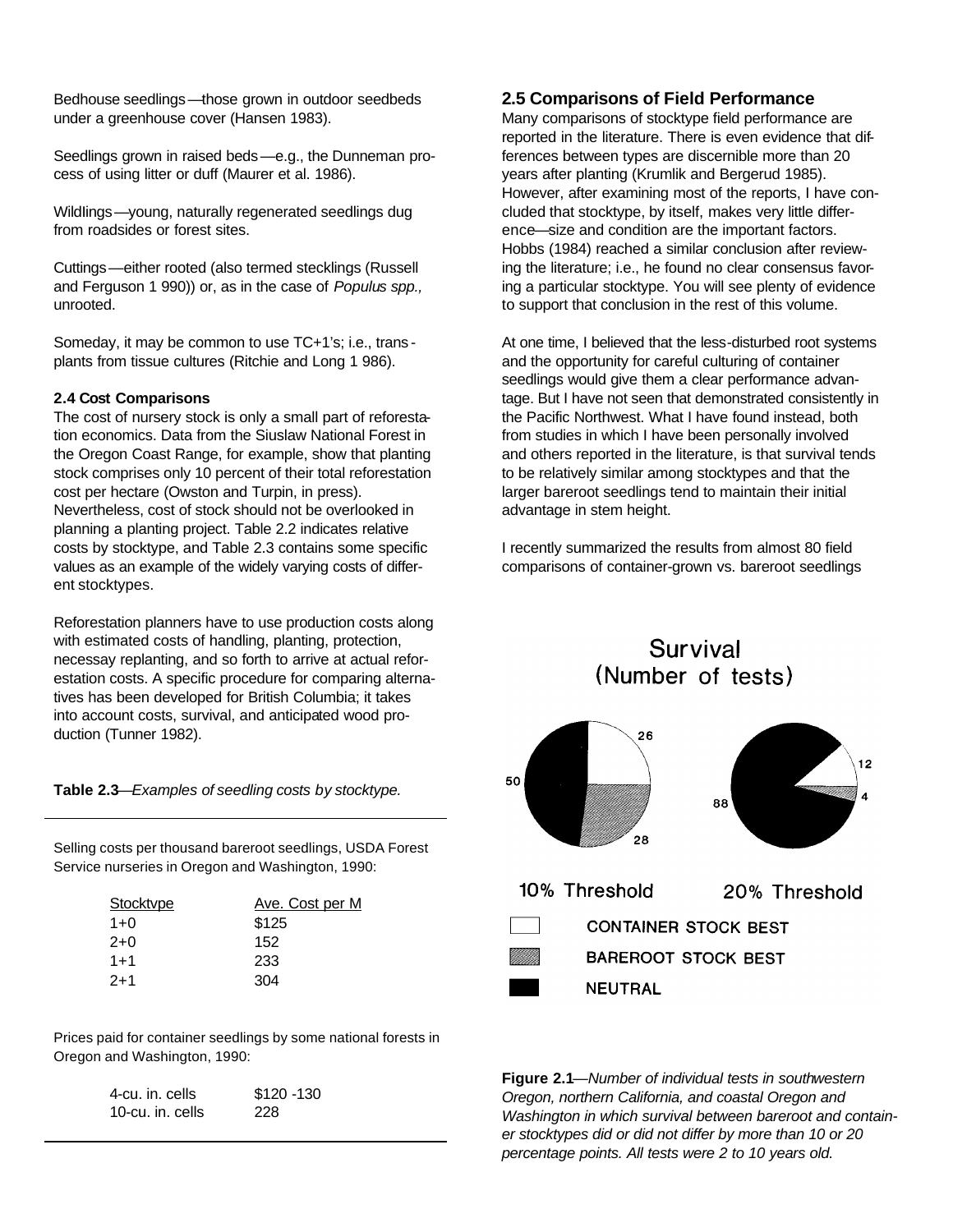Bedhouse seedlings—those grown in outdoor seedbeds under a greenhouse cover (Hansen 1983).

Seedlings grown in raised beds—e.g., the Dunneman process of using litter or duff (Maurer et al. 1986).

WildIings—young, naturally regenerated seedlings dug from roadsides or forest sites.

Cuttings—either rooted (also termed stecklings (Russell and Ferguson 1 990)) or, as in the case of *Populus spp.,* unrooted.

Someday, it may be common to use TC+1's; i.e., trans plants from tissue cultures (Ritchie and Long 1 986).

#### **2.4 Cost Comparisons**

The cost of nursery stock is only a small part of reforestation economics. Data from the Siuslaw National Forest in the Oregon Coast Range, for example, show that planting stock comprises only 10 percent of their total reforestation cost per hectare (Owston and Turpin, in press). Nevertheless, cost of stock should not be overlooked in planning a planting project. Table 2.2 indicates relative costs by stocktype, and Table 2.3 contains some specific values as an example of the widely varying costs of different stocktypes.

Reforestation planners have to use production costs along with estimated costs of handling, planting, protection, necessay replanting, and so forth to arrive at actual reforestation costs. A specific procedure for comparing alternatives has been developed for British Columbia; it takes into account costs, survival, and anticipated wood production (Tunner 1982).

**Table 2.3***—Examples of seedling costs by stocktype.*

Selling costs per thousand bareroot seedlings, USDA Forest Service nurseries in Oregon and Washington, 1990:

| Stocktvpe | Ave. Cost per M |
|-----------|-----------------|
| $1+0$     | \$125           |
| $2+0$     | 152             |
| $1 + 1$   | 233             |
| $2+1$     | 304             |
|           |                 |

Prices paid for container seedlings by some national forests in Oregon and Washington, 1990:

| 4-cu. in. cells  | $$120 - 130$ |
|------------------|--------------|
| 10-cu. in. cells | 228          |

#### **2.5 Comparisons of Field Performance**

Many comparisons of stocktype field performance are reported in the literature. There is even evidence that differences between types are discernible more than 20 years after planting (Krumlik and Bergerud 1985). However, after examining most of the reports, I have concluded that stocktype, by itself, makes very little difference—size and condition are the important factors. Hobbs (1984) reached a similar conclusion after reviewing the literature; i.e., he found no clear consensus favoring a particular stocktype. You will see plenty of evidence to support that conclusion in the rest of this volume.

At one time, I believed that the less-disturbed root systems and the opportunity for careful culturing of container seedlings would give them a clear performance advantage. But I have not seen that demonstrated consistently in the Pacific Northwest. What I have found instead, both from studies in which I have been personally involved and others reported in the literature, is that survival tends to be relatively similar among stocktypes and that the larger bareroot seedlings tend to maintain their initial advantage in stem height.

I recently summarized the results from almost 80 field comparisons of container-grown vs. bareroot seedlings



**Figure 2.1**—*Number of individual tests in southwestern Oregon, northern California, and coastal Oregon and Washington in which survival between bareroot and container stocktypes did or did not differ by more than 10 or 20 percentage points. All tests were 2 to 10 years old.*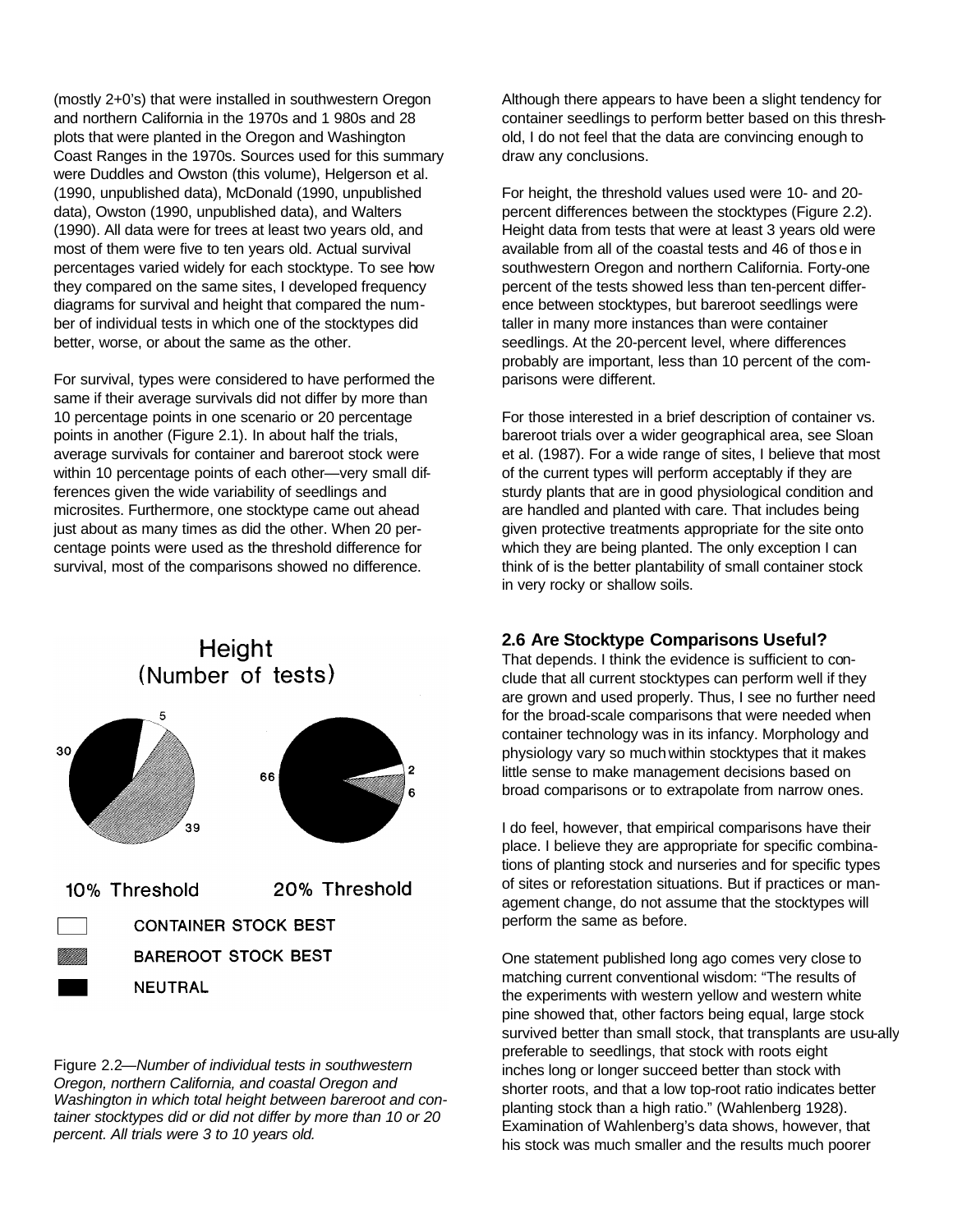(mostly 2+0's) that were installed in southwestern Oregon and northern California in the 1970s and 1 980s and 28 plots that were planted in the Oregon and Washington Coast Ranges in the 1970s. Sources used for this summary were Duddles and Owston (this volume), Helgerson et al. (1990, unpublished data), McDonald (1990, unpublished data), Owston (1990, unpublished data), and Walters (1990). All data were for trees at least two years old, and most of them were five to ten years old. Actual survival percentages varied widely for each stocktype. To see how they compared on the same sites, I developed frequency diagrams for survival and height that compared the number of individual tests in which one of the stocktypes did better, worse, or about the same as the other.

For survival, types were considered to have performed the same if their average survivals did not differ by more than 10 percentage points in one scenario or 20 percentage points in another (Figure 2.1). In about half the trials, average survivals for container and bareroot stock were within 10 percentage points of each other—very small differences given the wide variability of seedlings and microsites. Furthermore, one stocktype came out ahead just about as many times as did the other. When 20 percentage points were used as the threshold difference for survival, most of the comparisons showed no difference.

# Height (Number of tests)



10% Threshold 20% Threshold **CONTAINER STOCK BEST BAREROOT STOCK BEST NEUTRAL** 

Figure 2.2—*Number of individual tests in southwestern Oregon, northern California, and coastal Oregon and Washington in which total height between bareroot and container stocktypes did or did not differ by more than 10 or 20 percent. All trials were 3 to 10 years old.*

Although there appears to have been a slight tendency for container seedlings to perform better based on this threshold, I do not feel that the data are convincing enough to draw any conclusions.

For height, the threshold values used were 10- and 20 percent differences between the stocktypes (Figure 2.2). Height data from tests that were at least 3 years old were available from all of the coastal tests and 46 of those in southwestern Oregon and northern California. Forty-one percent of the tests showed less than ten-percent difference between stocktypes, but bareroot seedlings were taller in many more instances than were container seedlings. At the 20-percent level, where differences probably are important, less than 10 percent of the comparisons were different.

For those interested in a brief description of container vs. bareroot trials over a wider geographical area, see Sloan et al. (1987). For a wide range of sites, I believe that most of the current types will perform acceptably if they are sturdy plants that are in good physiological condition and are handled and planted with care. That includes being given protective treatments appropriate for the site onto which they are being planted. The only exception I can think of is the better plantability of small container stock in very rocky or shallow soils.

# **2.6 Are Stocktype Comparisons Useful?**

That depends. I think the evidence is sufficient to conclude that all current stocktypes can perform well if they are grown and used properly. Thus, I see no further need for the broad-scale comparisons that were needed when container technology was in its infancy. Morphology and physiology vary so much within stocktypes that it makes little sense to make management decisions based on broad comparisons or to extrapolate from narrow ones.

I do feel, however, that empirical comparisons have their place. I believe they are appropriate for specific combinations of planting stock and nurseries and for specific types of sites or reforestation situations. But if practices or management change, do not assume that the stocktypes will perform the same as before.

One statement published long ago comes very close to matching current conventional wisdom: "The results of the experiments with western yellow and western white pine showed that, other factors being equal, large stock survived better than small stock, that transplants are usu-ally preferable to seedlings, that stock with roots eight inches long or longer succeed better than stock with shorter roots, and that a low top-root ratio indicates better planting stock than a high ratio." (Wahlenberg 1928). Examination of Wahlenberg's data shows, however, that his stock was much smaller and the results much poorer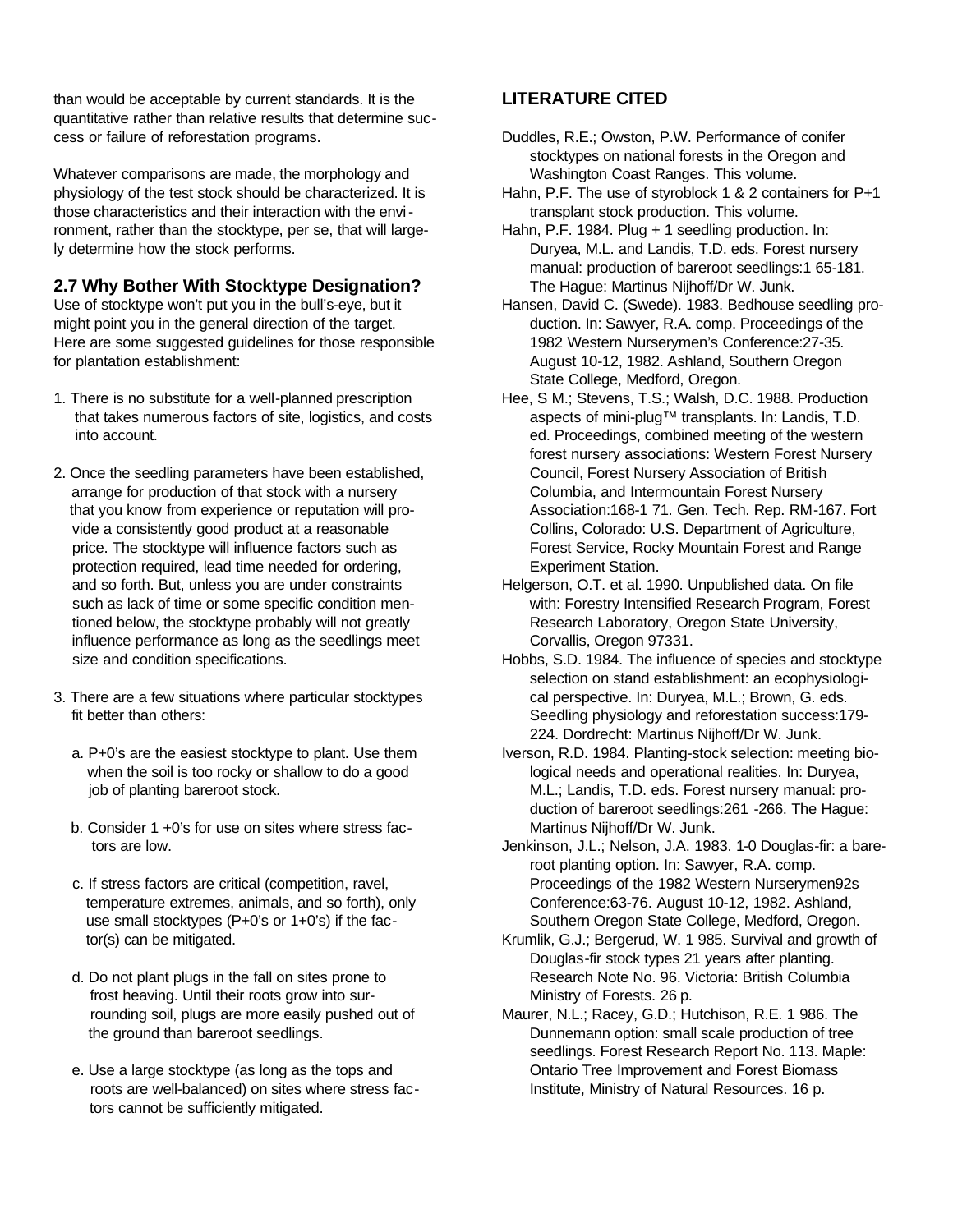than would be acceptable by current standards. It is the quantitative rather than relative results that determine success or failure of reforestation programs.

Whatever comparisons are made, the morphology and physiology of the test stock should be characterized. It is those characteristics and their interaction with the environment, rather than the stocktype, per se, that will largely determine how the stock performs.

# **2.7 Why Bother With Stocktype Designation?**

Use of stocktype won't put you in the bull's-eye, but it might point you in the general direction of the target. Here are some suggested guidelines for those responsible for plantation establishment:

- 1. There is no substitute for a well-planned prescription that takes numerous factors of site, logistics, and costs into account.
- 2. Once the seedling parameters have been established, arrange for production of that stock with a nursery that you know from experience or reputation will pro vide a consistently good product at a reasonable price. The stocktype will influence factors such as protection required, lead time needed for ordering, and so forth. But, unless you are under constraints such as lack of time or some specific condition men tioned below, the stocktype probably will not greatly influence performance as long as the seedlings meet size and condition specifications.
- 3. There are a few situations where particular stocktypes fit better than others:
	- a. P+0's are the easiest stocktype to plant. Use them when the soil is too rocky or shallow to do a good job of planting bareroot stock.
	- b. Consider 1 +0's for use on sites where stress fac tors are low.
	- c. If stress factors are critical (competition, ravel, temperature extremes, animals, and so forth), only use small stocktypes (P+0's or 1+0's) if the fac tor(s) can be mitigated.
	- d. Do not plant plugs in the fall on sites prone to frost heaving. Until their roots grow into sur rounding soil, plugs are more easily pushed out of the ground than bareroot seedlings.
	- e. Use a large stocktype (as long as the tops and roots are well-balanced) on sites where stress fac tors cannot be sufficiently mitigated.

# **LITERATURE CITED**

- Duddles, R.E.; Owston, P.W. Performance of conifer stocktypes on national forests in the Oregon and Washington Coast Ranges. This volume.
- Hahn, P.F. The use of styroblock 1 & 2 containers for P+1 transplant stock production. This volume.
- Hahn, P.F. 1984. Plug + 1 seedling production. In: Duryea, M.L. and Landis, T.D. eds. Forest nursery manual: production of bareroot seedlings:1 65-181. The Hague: Martinus Nijhoff/Dr W. Junk.
- Hansen, David C. (Swede). 1983. Bedhouse seedling production. In: Sawyer, R.A. comp. Proceedings of the 1982 Western Nurserymen's Conference:27-35. August 10-12, 1982. Ashland, Southern Oregon State College, Medford, Oregon.
- Hee, S M.; Stevens, T.S.; Walsh, D.C. 1988. Production aspects of mini-plug™ transplants. In: Landis, T.D. ed. Proceedings, combined meeting of the western forest nursery associations: Western Forest Nursery Council, Forest Nursery Association of British Columbia, and Intermountain Forest Nursery Association:168-1 71. Gen. Tech. Rep. RM-167. Fort Collins, Colorado: U.S. Department of Agriculture, Forest Service, Rocky Mountain Forest and Range Experiment Station.
- Helgerson, O.T. et al. 1990. Unpublished data. On file with: Forestry Intensified Research Program, Forest Research Laboratory, Oregon State University, Corvallis, Oregon 97331.
- Hobbs, S.D. 1984. The influence of species and stocktype selection on stand establishment: an ecophysiological perspective. In: Duryea, M.L.; Brown, G. eds. Seedling physiology and reforestation success:179- 224. Dordrecht: Martinus Nijhoff/Dr W. Junk.
- Iverson, R.D. 1984. Planting-stock selection: meeting biological needs and operational realities. In: Duryea, M.L.; Landis, T.D. eds. Forest nursery manual: production of bareroot seedlings:261 -266. The Hague: Martinus Nijhoff/Dr W. Junk.
- Jenkinson, J.L.; Nelson, J.A. 1983. 1-0 Douglas-fir: a bareroot planting option. In: Sawyer, R.A. comp. Proceedings of the 1982 Western Nurserymen92s Conference:63-76. August 10-12, 1982. Ashland, Southern Oregon State College, Medford, Oregon.
- Krumlik, G.J.; Bergerud, W. 1 985. Survival and growth of Douglas-fir stock types 21 years after planting. Research Note No. 96. Victoria: British Columbia Ministry of Forests. 26 p.
- Maurer, N.L.; Racey, G.D.; Hutchison, R.E. 1 986. The Dunnemann option: small scale production of tree seedlings. Forest Research Report No. 113. Maple: Ontario Tree Improvement and Forest Biomass Institute, Ministry of Natural Resources. 16 p.